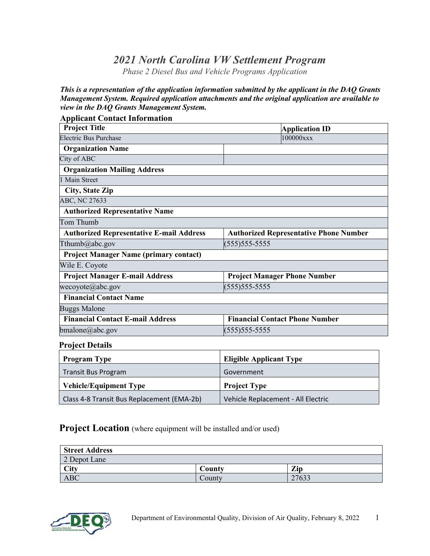## *2021 North Carolina VW Settlement Program*

*Phase 2 Diesel Bus and Vehicle Programs Application*

*This is a representation of the application information submitted by the applicant in the DAQ Grants Management System. Required application attachments and the original application are available to view in the DAQ Grants Management System.*

| <b>Project Title</b>                            | <b>Application ID</b>                         |  |  |
|-------------------------------------------------|-----------------------------------------------|--|--|
| <b>Electric Bus Purchase</b>                    | 100000xxx                                     |  |  |
| <b>Organization Name</b>                        |                                               |  |  |
| City of ABC                                     |                                               |  |  |
| <b>Organization Mailing Address</b>             |                                               |  |  |
| 1 Main Street                                   |                                               |  |  |
| <b>City, State Zip</b>                          |                                               |  |  |
| ABC, NC 27633                                   |                                               |  |  |
| <b>Authorized Representative Name</b>           |                                               |  |  |
| Tom Thumb                                       |                                               |  |  |
| <b>Authorized Representative E-mail Address</b> | <b>Authorized Representative Phone Number</b> |  |  |
| Tthumb@abc.gov                                  | (555) 555-5555                                |  |  |
| <b>Project Manager Name (primary contact)</b>   |                                               |  |  |
| Wile E. Coyote                                  |                                               |  |  |
| <b>Project Manager E-mail Address</b>           | <b>Project Manager Phone Number</b>           |  |  |
| wecoyote@abc.gov                                | (555) 555-5555                                |  |  |
| <b>Financial Contact Name</b>                   |                                               |  |  |
| <b>Buggs Malone</b>                             |                                               |  |  |
| <b>Financial Contact E-mail Address</b>         | <b>Financial Contact Phone Number</b>         |  |  |
| bmalone@abc.gov                                 | (555) 555-5555                                |  |  |

#### **Project Details**

| <b>Program Type</b>                        | <b>Eligible Applicant Type</b>     |
|--------------------------------------------|------------------------------------|
| Transit Bus Program                        | Government                         |
| <b>Vehicle/Equipment Type</b>              | <b>Project Type</b>                |
| Class 4-8 Transit Bus Replacement (EMA-2b) | Vehicle Replacement - All Electric |

#### **Project Location** (where equipment will be installed and/or used)

| <b>Street Address</b> |        |       |  |  |
|-----------------------|--------|-------|--|--|
| 2 Depot Lane          |        |       |  |  |
| City                  | County | Zip   |  |  |
| ABC                   | Countv | 27633 |  |  |

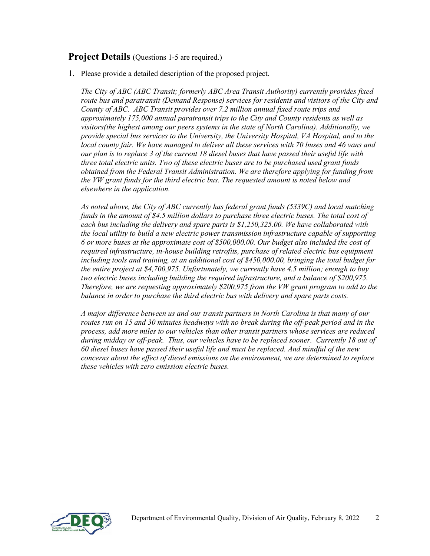#### **Project Details** (Questions 1-5 are required.)

1. Please provide a detailed description of the proposed project.

*The City of ABC (ABC Transit; formerly ABC Area Transit Authority) currently provides fixed route bus and paratransit (Demand Response) services for residents and visitors of the City and County of ABC. ABC Transit provides over 7.2 million annual fixed route trips and approximately 175,000 annual paratransit trips to the City and County residents as well as visitors(the highest among our peers systems in the state of North Carolina). Additionally, we provide special bus services to the University, the University Hospital, VA Hospital, and to the local county fair. We have managed to deliver all these services with 70 buses and 46 vans and our plan is to replace 3 of the current 18 diesel buses that have passed their useful life with three total electric units. Two of these electric buses are to be purchased used grant funds obtained from the Federal Transit Administration. We are therefore applying for funding from the VW grant funds for the third electric bus. The requested amount is noted below and elsewhere in the application.* 

*As noted above, the City of ABC currently has federal grant funds (5339C) and local matching funds in the amount of \$4.5 million dollars to purchase three electric buses. The total cost of each bus including the delivery and spare parts is \$1,250,325.00. We have collaborated with the local utility to build a new electric power transmission infrastructure capable of supporting 6 or more buses at the approximate cost of \$500,000.00. Our budget also included the cost of required infrastructure, in-house building retrofits, purchase of related electric bus equipment including tools and training, at an additional cost of \$450,000.00, bringing the total budget for the entire project at \$4,700,975. Unfortunately, we currently have 4.5 million; enough to buy two electric buses including building the required infrastructure, and a balance of \$200,975. Therefore, we are requesting approximately \$200,975 from the VW grant program to add to the balance in order to purchase the third electric bus with delivery and spare parts costs.* 

*A major difference between us and our transit partners in North Carolina is that many of our routes run on 15 and 30 minutes headways with no break during the off-peak period and in the process, add more miles to our vehicles than other transit partners whose services are reduced during midday or off-peak. Thus, our vehicles have to be replaced sooner. Currently 18 out of 60 diesel buses have passed their useful life and must be replaced. And mindful of the new concerns about the effect of diesel emissions on the environment, we are determined to replace these vehicles with zero emission electric buses.*

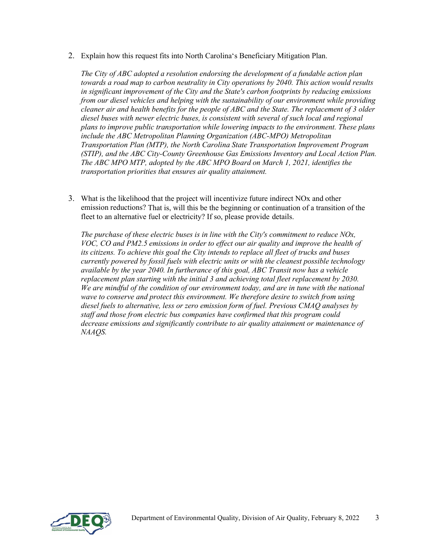2. Explain how this request fits into North Carolina's Beneficiary Mitigation Plan.

*The City of ABC adopted a resolution endorsing the development of a fundable action plan towards a road map to carbon neutrality in City operations by 2040. This action would results in significant improvement of the City and the State's carbon footprints by reducing emissions from our diesel vehicles and helping with the sustainability of our environment while providing cleaner air and health benefits for the people of ABC and the State. The replacement of 3 older diesel buses with newer electric buses, is consistent with several of such local and regional plans to improve public transportation while lowering impacts to the environment. These plans include the ABC Metropolitan Planning Organization (ABC-MPO) Metropolitan Transportation Plan (MTP), the North Carolina State Transportation Improvement Program (STIP), and the ABC City-County Greenhouse Gas Emissions Inventory and Local Action Plan. The ABC MPO MTP, adopted by the ABC MPO Board on March 1, 2021, identifies the transportation priorities that ensures air quality attainment.*

3. What is the likelihood that the project will incentivize future indirect NOx and other emission reductions? That is, will this be the beginning or continuation of a transition of the fleet to an alternative fuel or electricity? If so, please provide details.

*The purchase of these electric buses is in line with the City's commitment to reduce NOx, VOC, CO and PM2.5 emissions in order to effect our air quality and improve the health of its citizens. To achieve this goal the City intends to replace all fleet of trucks and buses currently powered by fossil fuels with electric units or with the cleanest possible technology available by the year 2040. In furtherance of this goal, ABC Transit now has a vehicle replacement plan starting with the initial 3 and achieving total fleet replacement by 2030. We are mindful of the condition of our environment today, and are in tune with the national wave to conserve and protect this environment. We therefore desire to switch from using diesel fuels to alternative, less or zero emission form of fuel. Previous CMAQ analyses by staff and those from electric bus companies have confirmed that this program could decrease emissions and significantly contribute to air quality attainment or maintenance of NAAQS.*

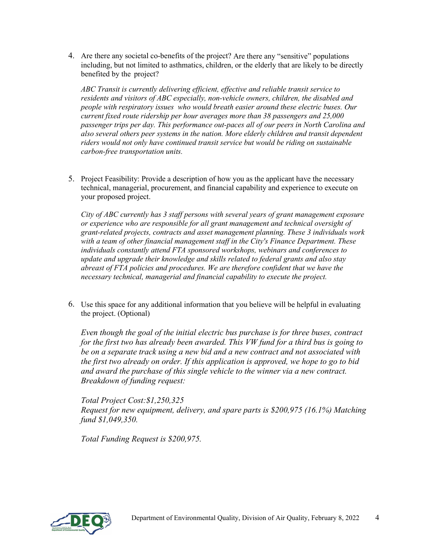4. Are there any societal co-benefits of the project? Are there any "sensitive" populations including, but not limited to asthmatics, children, or the elderly that are likely to be directly benefited by the project?

*ABC Transit is currently delivering efficient, effective and reliable transit service to residents and visitors of ABC especially, non-vehicle owners, children, the disabled and people with respiratory issues who would breath easier around these electric buses. Our current fixed route ridership per hour averages more than 38 passengers and 25,000 passenger trips per day. This performance out-paces all of our peers in North Carolina and also several others peer systems in the nation. More elderly children and transit dependent riders would not only have continued transit service but would be riding on sustainable carbon-free transportation units.*

5. Project Feasibility: Provide a description of how you as the applicant have the necessary technical, managerial, procurement, and financial capability and experience to execute on your proposed project.

*City of ABC currently has 3 staff persons with several years of grant management exposure or experience who are responsible for all grant management and technical oversight of grant-related projects, contracts and asset management planning. These 3 individuals work with a team of other financial management staff in the City's Finance Department. These individuals constantly attend FTA sponsored workshops, webinars and conferences to update and upgrade their knowledge and skills related to federal grants and also stay abreast of FTA policies and procedures. We are therefore confident that we have the necessary technical, managerial and financial capability to execute the project.*

6. Use this space for any additional information that you believe will be helpful in evaluating the project. (Optional)

*Even though the goal of the initial electric bus purchase is for three buses, contract for the first two has already been awarded. This VW fund for a third bus is going to be on a separate track using a new bid and a new contract and not associated with the first two already on order. If this application is approved, we hope to go to bid and award the purchase of this single vehicle to the winner via a new contract. Breakdown of funding request:* 

*Total Project Cost:\$1,250,325 Request for new equipment, delivery, and spare parts is \$200,975 (16.1%) Matching fund \$1,049,350.*

*Total Funding Request is \$200,975.*

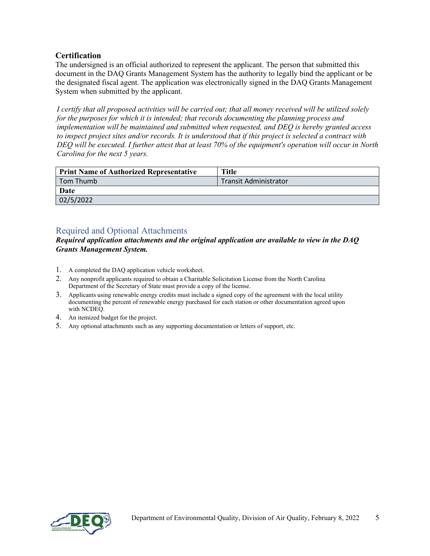#### **Certification**

The undersigned is an official authorized to represent the applicant. The person that submitted this document in the DAQ Grants Management System has the authority to legally bind the applicant or be the designated fiscal agent. The application was electronically signed in the DAQ Grants Management System when submitted by the applicant.

*I certify that all proposed activities will be carried out; that all money received will be utilized solely for the purposes for which it is intended; that records documenting the planning process and implementation will be maintained and submitted when requested, and DEQ is hereby granted access to inspect project sites and/or records. It is understood that if this project is selected a contract with DEQ will be executed. I further attest that at least 70% of the equipment's operation will occur in North Carolina for the next 5 years.*

| <b>Print Name of Authorized Representative</b> | <b>Title</b>                 |
|------------------------------------------------|------------------------------|
| Tom Thumb                                      | <b>Transit Administrator</b> |
| Date                                           |                              |
| 02/5/2022                                      |                              |

### Required and Optional Attachments

*Required application attachments and the original application are available to view in the DAQ Grants Management System.*

- 1. A completed the DAQ application vehicle worksheet.
- 2. Any nonprofit applicants required to obtain a Charitable Solicitation License from the North Carolina Department of the Secretary of State must provide a copy of the license.
- 3. Applicants using renewable energy credits must include a signed copy of the agreement with the local utility documenting the percent of renewable energy purchased for each station or other documentation agreed upon with NCDEQ.
- 4. An itemized budget for the project.
- 5. Any optional attachments such as any supporting documentation or letters of support, etc.